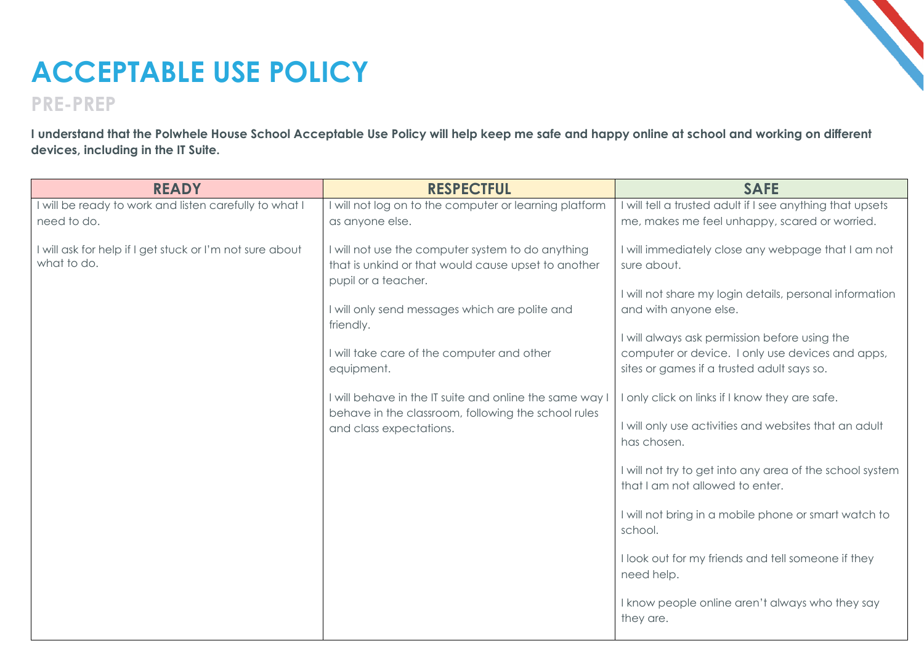## **ACCEPTABLE USE POLICY**

## **PRE-PREP**

**I understand that the Polwhele House School Acceptable Use Policy will help keep me safe and happy online at school and working on different devices, including in the IT Suite.**

| <b>READY</b>                                                            | <b>RESPECTFUL</b>                                                                                                                         | <b>SAFE</b>                                                                                                                                     |
|-------------------------------------------------------------------------|-------------------------------------------------------------------------------------------------------------------------------------------|-------------------------------------------------------------------------------------------------------------------------------------------------|
| I will be ready to work and listen carefully to what I                  | I will not log on to the computer or learning platform                                                                                    | I will tell a trusted adult if I see anything that upsets                                                                                       |
| need to do.                                                             | as anyone else.                                                                                                                           | me, makes me feel unhappy, scared or worried.                                                                                                   |
| I will ask for help if I get stuck or I'm not sure about<br>what to do. | I will not use the computer system to do anything<br>that is unkind or that would cause upset to another<br>pupil or a teacher.           | I will immediately close any webpage that I am not<br>sure about.                                                                               |
|                                                                         | I will only send messages which are polite and                                                                                            | I will not share my login details, personal information<br>and with anyone else.                                                                |
|                                                                         | friendly.<br>I will take care of the computer and other<br>equipment.                                                                     | I will always ask permission before using the<br>computer or device. I only use devices and apps,<br>sites or games if a trusted adult says so. |
|                                                                         | I will behave in the IT suite and online the same way I<br>behave in the classroom, following the school rules<br>and class expectations. | I only click on links if I know they are safe.                                                                                                  |
|                                                                         |                                                                                                                                           | I will only use activities and websites that an adult<br>has chosen.                                                                            |
|                                                                         |                                                                                                                                           | I will not try to get into any area of the school system<br>that I am not allowed to enter.                                                     |
|                                                                         |                                                                                                                                           | I will not bring in a mobile phone or smart watch to<br>school.                                                                                 |
|                                                                         |                                                                                                                                           | I look out for my friends and tell someone if they<br>need help.                                                                                |
|                                                                         |                                                                                                                                           | I know people online aren't always who they say<br>they are.                                                                                    |